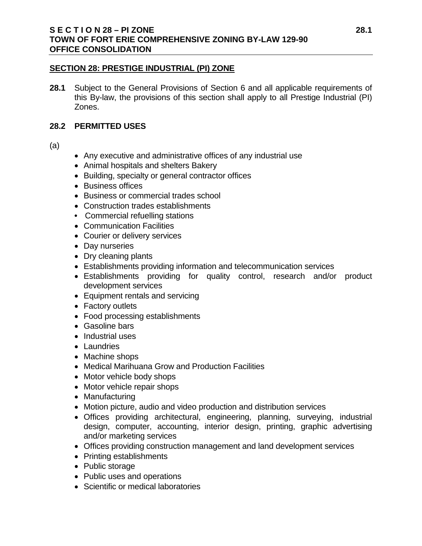## **S E C T I O N 28 – PI ZONE 28.1 TOWN OF FORT ERIE COMPREHENSIVE ZONING BY-LAW 129-90 OFFICE CONSOLIDATION**

#### **SECTION 28: PRESTIGE INDUSTRIAL (PI) ZONE**

**28.1** Subject to the General Provisions of Section 6 and all applicable requirements of this By-law, the provisions of this section shall apply to all Prestige Industrial (PI) Zones.

### **28.2 PERMITTED USES**

(a)

- Any executive and administrative offices of any industrial use
- Animal hospitals and shelters Bakery
- Building, specialty or general contractor offices
- Business offices
- Business or commercial trades school
- Construction trades establishments
- **•** Commercial refuelling stations
- Communication Facilities
- Courier or delivery services
- Day nurseries
- Dry cleaning plants
- Establishments providing information and telecommunication services
- Establishments providing for quality control, research and/or product development services
- Equipment rentals and servicing
- Factory outlets
- Food processing establishments
- Gasoline bars
- Industrial uses
- Laundries
- Machine shops
- Medical Marihuana Grow and Production Facilities
- Motor vehicle body shops
- Motor vehicle repair shops
- Manufacturing
- Motion picture, audio and video production and distribution services
- Offices providing architectural, engineering, planning, surveying, industrial design, computer, accounting, interior design, printing, graphic advertising and/or marketing services
- Offices providing construction management and land development services
- Printing establishments
- Public storage
- Public uses and operations
- Scientific or medical laboratories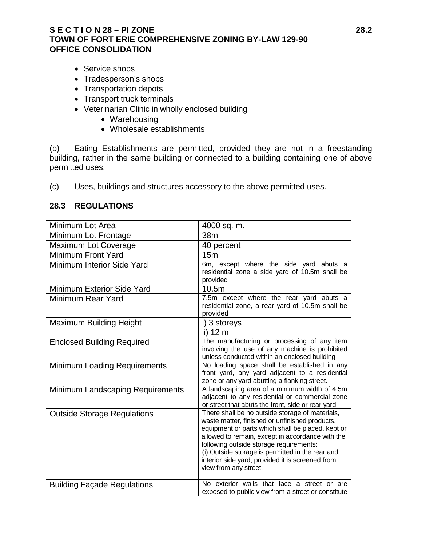# **S E C T I O N 28 – PI ZONE 28.2 TOWN OF FORT ERIE COMPREHENSIVE ZONING BY-LAW 129-90 OFFICE CONSOLIDATION**

- Service shops
- Tradesperson's shops
- Transportation depots
- Transport truck terminals
- Veterinarian Clinic in wholly enclosed building
	- Warehousing
	- Wholesale establishments

(b) Eating Establishments are permitted, provided they are not in a freestanding building, rather in the same building or connected to a building containing one of above permitted uses.

(c) Uses, buildings and structures accessory to the above permitted uses.

## **28.3 REGULATIONS**

| Minimum Lot Area                    | 4000 sq. m.                                                                                                                                                                                                                                                                                                                                                                            |
|-------------------------------------|----------------------------------------------------------------------------------------------------------------------------------------------------------------------------------------------------------------------------------------------------------------------------------------------------------------------------------------------------------------------------------------|
| Minimum Lot Frontage                | 38m                                                                                                                                                                                                                                                                                                                                                                                    |
| Maximum Lot Coverage                | 40 percent                                                                                                                                                                                                                                                                                                                                                                             |
| <b>Minimum Front Yard</b>           | 15 <sub>m</sub>                                                                                                                                                                                                                                                                                                                                                                        |
| <b>Minimum Interior Side Yard</b>   | 6m, except where the side yard abuts a<br>residential zone a side yard of 10.5m shall be<br>provided                                                                                                                                                                                                                                                                                   |
| Minimum Exterior Side Yard          | 10.5m                                                                                                                                                                                                                                                                                                                                                                                  |
| Minimum Rear Yard                   | 7.5m except where the rear yard abuts a<br>residential zone, a rear yard of 10.5m shall be<br>provided                                                                                                                                                                                                                                                                                 |
| <b>Maximum Building Height</b>      | i) 3 storeys<br>ii) 12 m                                                                                                                                                                                                                                                                                                                                                               |
| <b>Enclosed Building Required</b>   | The manufacturing or processing of any item<br>involving the use of any machine is prohibited<br>unless conducted within an enclosed building                                                                                                                                                                                                                                          |
| <b>Minimum Loading Requirements</b> | No loading space shall be established in any<br>front yard, any yard adjacent to a residential<br>zone or any yard abutting a flanking street.                                                                                                                                                                                                                                         |
| Minimum Landscaping Requirements    | A landscaping area of a minimum width of 4.5m<br>adjacent to any residential or commercial zone<br>or street that abuts the front, side or rear yard                                                                                                                                                                                                                                   |
| <b>Outside Storage Regulations</b>  | There shall be no outside storage of materials,<br>waste matter, finished or unfinished products,<br>equipment or parts which shall be placed, kept or<br>allowed to remain, except in accordance with the<br>following outside storage requirements:<br>(i) Outside storage is permitted in the rear and<br>interior side yard, provided it is screened from<br>view from any street. |
| <b>Building Façade Regulations</b>  | No exterior walls that face a street or are<br>exposed to public view from a street or constitute                                                                                                                                                                                                                                                                                      |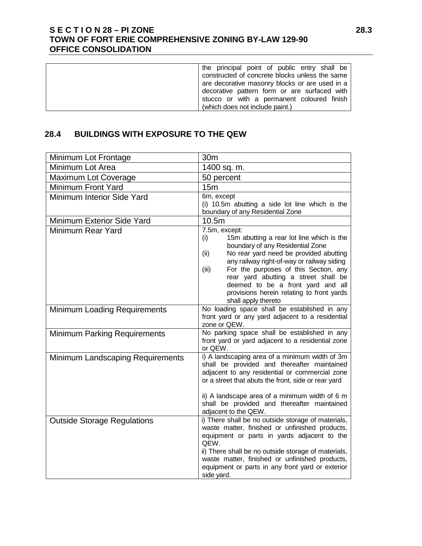# **S E C T I O N 28 – PI ZONE 28.3 TOWN OF FORT ERIE COMPREHENSIVE ZONING BY-LAW 129-90 OFFICE CONSOLIDATION**

| (which does not include paint.) |
|---------------------------------|
|---------------------------------|

# **28.4 BUILDINGS WITH EXPOSURE TO THE QEW**

| Minimum Lot Frontage                | 30m                                                                                                                                                                                                                                                                                                                                                                                                      |
|-------------------------------------|----------------------------------------------------------------------------------------------------------------------------------------------------------------------------------------------------------------------------------------------------------------------------------------------------------------------------------------------------------------------------------------------------------|
| Minimum Lot Area                    | 1400 sq. m.                                                                                                                                                                                                                                                                                                                                                                                              |
| <b>Maximum Lot Coverage</b>         | 50 percent                                                                                                                                                                                                                                                                                                                                                                                               |
| <b>Minimum Front Yard</b>           | 15 <sub>m</sub>                                                                                                                                                                                                                                                                                                                                                                                          |
| Minimum Interior Side Yard          | 6m, except<br>(i) 10.5m abutting a side lot line which is the<br>boundary of any Residential Zone                                                                                                                                                                                                                                                                                                        |
| Minimum Exterior Side Yard          | 10.5m                                                                                                                                                                                                                                                                                                                                                                                                    |
| Minimum Rear Yard                   | 7.5m, except:<br>15m abutting a rear lot line which is the<br>(i)<br>boundary of any Residential Zone<br>No rear yard need be provided abutting<br>(ii)<br>any railway right-of-way or railway siding<br>For the purposes of this Section, any<br>(iii)<br>rear yard abutting a street shall be<br>deemed to be a front yard and all<br>provisions herein relating to front yards<br>shall apply thereto |
| <b>Minimum Loading Requirements</b> | No loading space shall be established in any<br>front yard or any yard adjacent to a residential<br>zone or QEW.                                                                                                                                                                                                                                                                                         |
| <b>Minimum Parking Requirements</b> | No parking space shall be established in any<br>front yard or yard adjacent to a residential zone<br>or QEW.                                                                                                                                                                                                                                                                                             |
| Minimum Landscaping Requirements    | i) A landscaping area of a minimum width of 3m<br>shall be provided and thereafter maintained<br>adjacent to any residential or commercial zone<br>or a street that abuts the front, side or rear yard<br>ii) A landscape area of a minimum width of 6 m<br>shall be provided and thereafter maintained<br>adjacent to the QEW.                                                                          |
| <b>Outside Storage Regulations</b>  | i) There shall be no outside storage of materials,<br>waste matter, finished or unfinished products,<br>equipment or parts in yards adjacent to the<br>QEW.<br>ii) There shall be no outside storage of materials,<br>waste matter, finished or unfinished products,<br>equipment or parts in any front yard or exterior<br>side yard.                                                                   |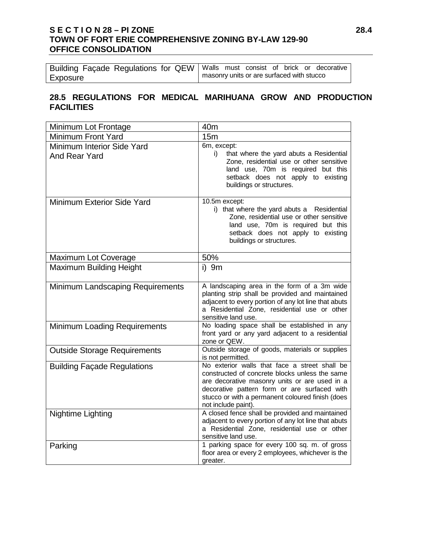# **S E C T I O N 28 – PI ZONE 28.4 TOWN OF FORT ERIE COMPREHENSIVE ZONING BY-LAW 129-90 OFFICE CONSOLIDATION**

| Building Façade Regulations for QEW   Walls must consist of brick or decorative |  |                                             |  |  |
|---------------------------------------------------------------------------------|--|---------------------------------------------|--|--|
| Exposure                                                                        |  | I masonry units or are surfaced with stucco |  |  |

# **28.5 REGULATIONS FOR MEDICAL MARIHUANA GROW AND PRODUCTION FACILITIES**

| Minimum Lot Frontage                        | 40 <sub>m</sub>                                                                                                                                                                                                                                                             |
|---------------------------------------------|-----------------------------------------------------------------------------------------------------------------------------------------------------------------------------------------------------------------------------------------------------------------------------|
| <b>Minimum Front Yard</b>                   | 15 <sub>m</sub>                                                                                                                                                                                                                                                             |
| Minimum Interior Side Yard<br>And Rear Yard | 6m, except:<br>i)<br>that where the yard abuts a Residential<br>Zone, residential use or other sensitive<br>land use, 70m is required but this<br>setback does not apply to existing<br>buildings or structures.                                                            |
| Minimum Exterior Side Yard                  | 10.5m except:<br>i) that where the yard abuts a Residential<br>Zone, residential use or other sensitive<br>land use, 70m is required but this<br>setback does not apply to existing<br>buildings or structures.                                                             |
| <b>Maximum Lot Coverage</b>                 | 50%                                                                                                                                                                                                                                                                         |
| <b>Maximum Building Height</b>              | $i)$ 9m                                                                                                                                                                                                                                                                     |
| Minimum Landscaping Requirements            | A landscaping area in the form of a 3m wide<br>planting strip shall be provided and maintained<br>adjacent to every portion of any lot line that abuts<br>a Residential Zone, residential use or other<br>sensitive land use.                                               |
| <b>Minimum Loading Requirements</b>         | No loading space shall be established in any<br>front yard or any yard adjacent to a residential<br>zone or QEW.                                                                                                                                                            |
| <b>Outside Storage Requirements</b>         | Outside storage of goods, materials or supplies<br>is not permitted.                                                                                                                                                                                                        |
| <b>Building Façade Regulations</b>          | No exterior walls that face a street shall be<br>constructed of concrete blocks unless the same<br>are decorative masonry units or are used in a<br>decorative pattern form or are surfaced with<br>stucco or with a permanent coloured finish (does<br>not include paint). |
| Nightime Lighting                           | A closed fence shall be provided and maintained<br>adjacent to every portion of any lot line that abuts<br>a Residential Zone, residential use or other<br>sensitive land use.                                                                                              |
| Parking                                     | 1 parking space for every 100 sq. m. of gross<br>floor area or every 2 employees, whichever is the<br>greater.                                                                                                                                                              |